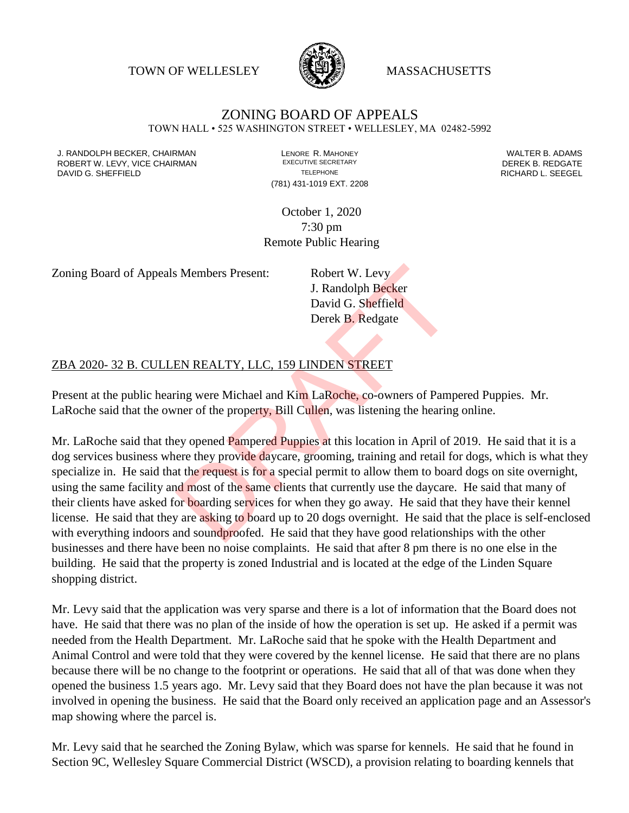TOWN OF WELLESLEY **WASSACHUSETTS** 



# ZONING BOARD OF APPEALS

TOWN HALL • 525 WASHINGTON STREET • WELLESLEY, MA 02482-5992

J. RANDOLPH BECKER, CHAIRMAN LENORE R. MAHONEY LENORE R. MAHONEY LENORE R. ADAMS<br>IN THE ROBERT WALTER STORING A LETTER BY A LENGER WARD DER BUILDING A LETTER BY REDGATE ROBERT W. LEVY, VICE CHAIRMAN EXECUTIVE SECRETARY FOR EXECUTIVE SECRETARY DEREK B. REDGATE DAVID G. SHEFFIELD **TELEPHONE** TELEPHONE TELEPHONE TELEPHONE **RICHARD L. SEEGEL** 

(781) 431-1019 EXT. 2208

October 1, 2020 7:30 pm Remote Public Hearing

Zoning Board of Appeals Members Present: Robert W. Levy

J. Randolph Becker David G. Sheffield Derek B. Redgate

## ZBA 2020- 32 B. CULLEN REALTY, LLC, 159 LINDEN STREET

Present at the public hearing were Michael and Kim LaRoche, co-owners of Pampered Puppies. Mr. LaRoche said that the owner of the property, Bill Cullen, was listening the hearing online.

Mr. LaRoche said that they opened Pampered Puppies at this location in April of 2019. He said that it is a dog services business where they provide daycare, grooming, training and retail for dogs, which is what they specialize in. He said that the request is for a special permit to allow them to board dogs on site overnight, using the same facility and most of the same clients that currently use the daycare. He said that many of their clients have asked for boarding services for when they go away. He said that they have their kennel license. He said that they are asking to board up to 20 dogs overnight. He said that the place is self-enclosed with everything indoors and soundproofed. He said that they have good relationships with the other businesses and there have been no noise complaints. He said that after 8 pm there is no one else in the building. He said that the property is zoned Industrial and is located at the edge of the Linden Square shopping district. S Members Present:<br>
J. Randolph Becker<br>
David G. Sheffield<br>
Derek B. Redgate<br>
Derek B. Redgate<br>
EN REALTY, LLC, 159 LINDEN STREET<br>
ring were Michael and Kim LaRoche, co-owners of Pamp<br>
rner of the property, Bill Cullen, wa

Mr. Levy said that the application was very sparse and there is a lot of information that the Board does not have. He said that there was no plan of the inside of how the operation is set up. He asked if a permit was needed from the Health Department. Mr. LaRoche said that he spoke with the Health Department and Animal Control and were told that they were covered by the kennel license. He said that there are no plans because there will be no change to the footprint or operations. He said that all of that was done when they opened the business 1.5 years ago. Mr. Levy said that they Board does not have the plan because it was not involved in opening the business. He said that the Board only received an application page and an Assessor's map showing where the parcel is.

Mr. Levy said that he searched the Zoning Bylaw, which was sparse for kennels. He said that he found in Section 9C, Wellesley Square Commercial District (WSCD), a provision relating to boarding kennels that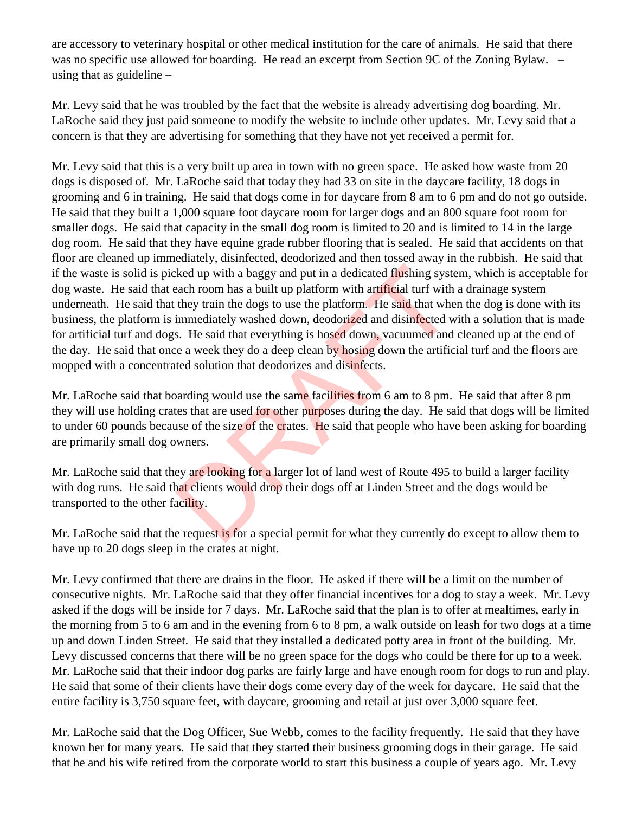are accessory to veterinary hospital or other medical institution for the care of animals. He said that there was no specific use allowed for boarding. He read an excerpt from Section 9C of the Zoning Bylaw. – using that as guideline –

Mr. Levy said that he was troubled by the fact that the website is already advertising dog boarding. Mr. LaRoche said they just paid someone to modify the website to include other updates. Mr. Levy said that a concern is that they are advertising for something that they have not yet received a permit for.

Mr. Levy said that this is a very built up area in town with no green space. He asked how waste from 20 dogs is disposed of. Mr. LaRoche said that today they had 33 on site in the daycare facility, 18 dogs in grooming and 6 in training. He said that dogs come in for daycare from 8 am to 6 pm and do not go outside. He said that they built a 1,000 square foot daycare room for larger dogs and an 800 square foot room for smaller dogs. He said that capacity in the small dog room is limited to 20 and is limited to 14 in the large dog room. He said that they have equine grade rubber flooring that is sealed. He said that accidents on that floor are cleaned up immediately, disinfected, deodorized and then tossed away in the rubbish. He said that if the waste is solid is picked up with a baggy and put in a dedicated flushing system, which is acceptable for dog waste. He said that each room has a built up platform with artificial turf with a drainage system underneath. He said that they train the dogs to use the platform. He said that when the dog is done with its business, the platform is immediately washed down, deodorized and disinfected with a solution that is made for artificial turf and dogs. He said that everything is hosed down, vacuumed and cleaned up at the end of the day. He said that once a week they do a deep clean by hosing down the artificial turf and the floors are mopped with a concentrated solution that deodorizes and disinfects. Exercise the video and put in a dedicated flushing system and put in a dedicated flushing system and the search room has a built up platform with artificial turf with they train the dogs to use the platform. He said that w

Mr. LaRoche said that boarding would use the same facilities from 6 am to 8 pm. He said that after 8 pm they will use holding crates that are used for other purposes during the day. He said that dogs will be limited to under 60 pounds because of the size of the crates. He said that people who have been asking for boarding are primarily small dog owners.

Mr. LaRoche said that they are looking for a larger lot of land west of Route 495 to build a larger facility with dog runs. He said that clients would drop their dogs off at Linden Street and the dogs would be transported to the other facility.

Mr. LaRoche said that the request is for a special permit for what they currently do except to allow them to have up to 20 dogs sleep in the crates at night.

Mr. Levy confirmed that there are drains in the floor. He asked if there will be a limit on the number of consecutive nights. Mr. LaRoche said that they offer financial incentives for a dog to stay a week. Mr. Levy asked if the dogs will be inside for 7 days. Mr. LaRoche said that the plan is to offer at mealtimes, early in the morning from 5 to 6 am and in the evening from 6 to 8 pm, a walk outside on leash for two dogs at a time up and down Linden Street. He said that they installed a dedicated potty area in front of the building. Mr. Levy discussed concerns that there will be no green space for the dogs who could be there for up to a week. Mr. LaRoche said that their indoor dog parks are fairly large and have enough room for dogs to run and play. He said that some of their clients have their dogs come every day of the week for daycare. He said that the entire facility is 3,750 square feet, with daycare, grooming and retail at just over 3,000 square feet.

Mr. LaRoche said that the Dog Officer, Sue Webb, comes to the facility frequently. He said that they have known her for many years. He said that they started their business grooming dogs in their garage. He said that he and his wife retired from the corporate world to start this business a couple of years ago. Mr. Levy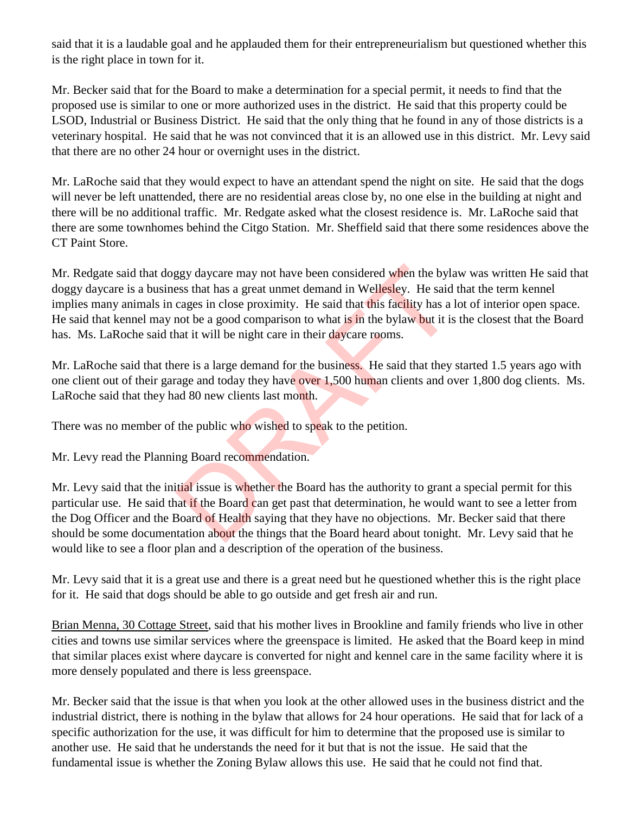said that it is a laudable goal and he applauded them for their entrepreneurialism but questioned whether this is the right place in town for it.

Mr. Becker said that for the Board to make a determination for a special permit, it needs to find that the proposed use is similar to one or more authorized uses in the district. He said that this property could be LSOD, Industrial or Business District. He said that the only thing that he found in any of those districts is a veterinary hospital. He said that he was not convinced that it is an allowed use in this district. Mr. Levy said that there are no other 24 hour or overnight uses in the district.

Mr. LaRoche said that they would expect to have an attendant spend the night on site. He said that the dogs will never be left unattended, there are no residential areas close by, no one else in the building at night and there will be no additional traffic. Mr. Redgate asked what the closest residence is. Mr. LaRoche said that there are some townhomes behind the Citgo Station. Mr. Sheffield said that there some residences above the CT Paint Store.

Mr. Redgate said that doggy daycare may not have been considered when the bylaw was written He said that doggy daycare is a business that has a great unmet demand in Wellesley. He said that the term kennel implies many animals in cages in close proximity. He said that this facility has a lot of interior open space. He said that kennel may not be a good comparison to what is in the bylaw but it is the closest that the Board has. Ms. LaRoche said that it will be night care in their daycare rooms. ggy daycare may not have been considered when the bylass that has a great unmet demand in Wellesley. He said cages in close proximity. He said that this facility has a mot be a good comparison to what is in the bylaw but i

Mr. LaRoche said that there is a large demand for the business. He said that they started 1.5 years ago with one client out of their garage and today they have over 1,500 human clients and over 1,800 dog clients. Ms. LaRoche said that they had 80 new clients last month.

There was no member of the public who wished to speak to the petition.

Mr. Levy read the Planning Board recommendation.

Mr. Levy said that the initial issue is whether the Board has the authority to grant a special permit for this particular use. He said that if the Board can get past that determination, he would want to see a letter from the Dog Officer and the Board of Health saying that they have no objections. Mr. Becker said that there should be some documentation about the things that the Board heard about tonight. Mr. Levy said that he would like to see a floor plan and a description of the operation of the business.

Mr. Levy said that it is a great use and there is a great need but he questioned whether this is the right place for it. He said that dogs should be able to go outside and get fresh air and run.

Brian Menna, 30 Cottage Street, said that his mother lives in Brookline and family friends who live in other cities and towns use similar services where the greenspace is limited. He asked that the Board keep in mind that similar places exist where daycare is converted for night and kennel care in the same facility where it is more densely populated and there is less greenspace.

Mr. Becker said that the issue is that when you look at the other allowed uses in the business district and the industrial district, there is nothing in the bylaw that allows for 24 hour operations. He said that for lack of a specific authorization for the use, it was difficult for him to determine that the proposed use is similar to another use. He said that he understands the need for it but that is not the issue. He said that the fundamental issue is whether the Zoning Bylaw allows this use. He said that he could not find that.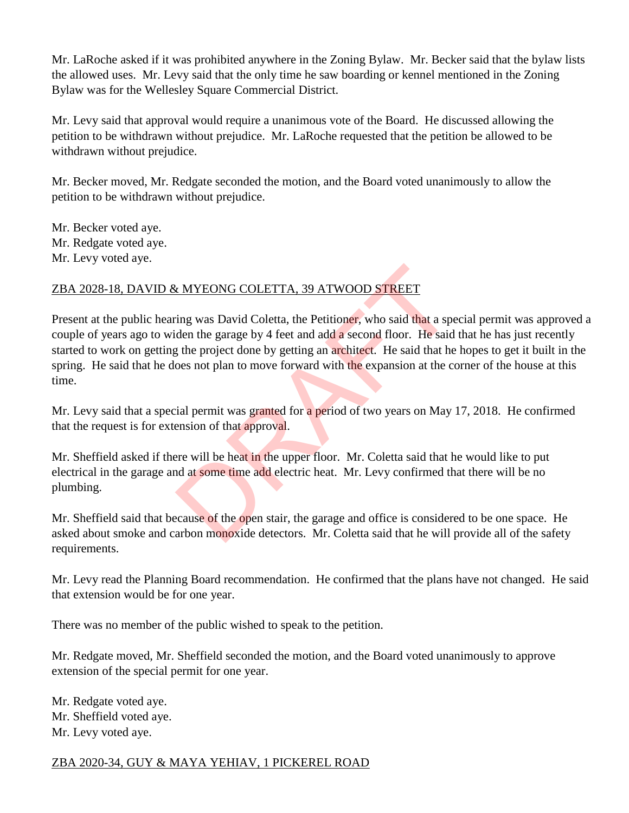Mr. LaRoche asked if it was prohibited anywhere in the Zoning Bylaw. Mr. Becker said that the bylaw lists the allowed uses. Mr. Levy said that the only time he saw boarding or kennel mentioned in the Zoning Bylaw was for the Wellesley Square Commercial District.

Mr. Levy said that approval would require a unanimous vote of the Board. He discussed allowing the petition to be withdrawn without prejudice. Mr. LaRoche requested that the petition be allowed to be withdrawn without prejudice.

Mr. Becker moved, Mr. Redgate seconded the motion, and the Board voted unanimously to allow the petition to be withdrawn without prejudice.

Mr. Becker voted aye. Mr. Redgate voted aye. Mr. Levy voted aye.

# ZBA 2028-18, DAVID & MYEONG COLETTA, 39 ATWOOD STREET

Present at the public hearing was David Coletta, the Petitioner, who said that a special permit was approved a couple of years ago to widen the garage by 4 feet and add a second floor. He said that he has just recently started to work on getting the project done by getting an architect. He said that he hopes to get it built in the spring. He said that he does not plan to move forward with the expansion at the corner of the house at this time. EXAMENTER EXAMPLE EXAMPLE EXAMPLE EXAMPLE EXAMPLE EXAMPLE EXAMPLE EXAMPLE EXAMPLE EXAMPLE EXAMPLE EXAMPLE AND A SURFERE THE SAID of the project done by getting an **architect**. He said that he coses not plan to move forwar

Mr. Levy said that a special permit was granted for a period of two years on May 17, 2018. He confirmed that the request is for extension of that approval.

Mr. Sheffield asked if there will be heat in the upper floor. Mr. Coletta said that he would like to put electrical in the garage and at some time add electric heat. Mr. Levy confirmed that there will be no plumbing.

Mr. Sheffield said that because of the open stair, the garage and office is considered to be one space. He asked about smoke and carbon monoxide detectors. Mr. Coletta said that he will provide all of the safety requirements.

Mr. Levy read the Planning Board recommendation. He confirmed that the plans have not changed. He said that extension would be for one year.

There was no member of the public wished to speak to the petition.

Mr. Redgate moved, Mr. Sheffield seconded the motion, and the Board voted unanimously to approve extension of the special permit for one year.

Mr. Redgate voted aye. Mr. Sheffield voted aye. Mr. Levy voted aye.

# ZBA 2020-34, GUY & MAYA YEHIAV, 1 PICKEREL ROAD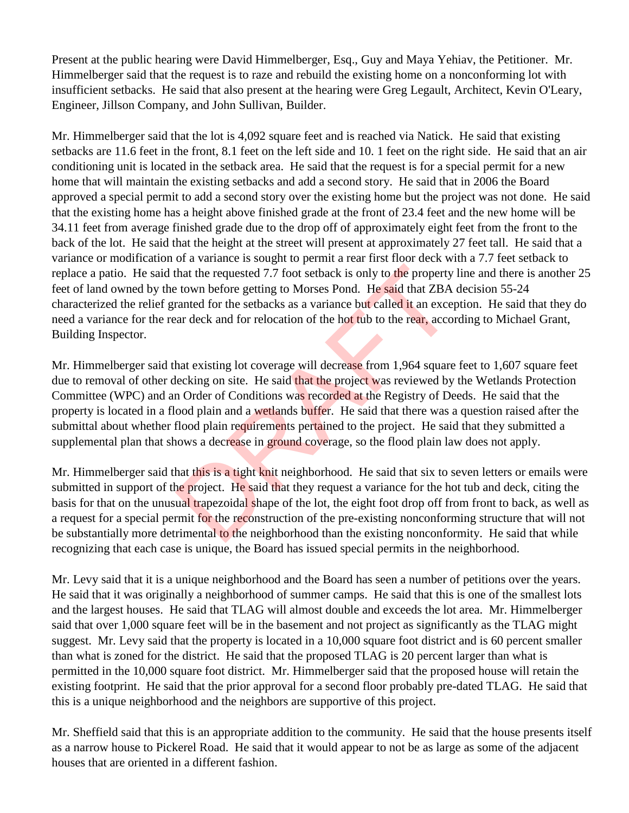Present at the public hearing were David Himmelberger, Esq., Guy and Maya Yehiav, the Petitioner. Mr. Himmelberger said that the request is to raze and rebuild the existing home on a nonconforming lot with insufficient setbacks. He said that also present at the hearing were Greg Legault, Architect, Kevin O'Leary, Engineer, Jillson Company, and John Sullivan, Builder.

Mr. Himmelberger said that the lot is 4,092 square feet and is reached via Natick. He said that existing setbacks are 11.6 feet in the front, 8.1 feet on the left side and 10. 1 feet on the right side. He said that an air conditioning unit is located in the setback area. He said that the request is for a special permit for a new home that will maintain the existing setbacks and add a second story. He said that in 2006 the Board approved a special permit to add a second story over the existing home but the project was not done. He said that the existing home has a height above finished grade at the front of 23.4 feet and the new home will be 34.11 feet from average finished grade due to the drop off of approximately eight feet from the front to the back of the lot. He said that the height at the street will present at approximately 27 feet tall. He said that a variance or modification of a variance is sought to permit a rear first floor deck with a 7.7 feet setback to replace a patio. He said that the requested 7.7 foot setback is only to the property line and there is another 25 feet of land owned by the town before getting to Morses Pond. He said that ZBA decision 55-24 characterized the relief granted for the setbacks as a variance but called it an exception. He said that they do need a variance for the rear deck and for relocation of the hot tub to the rear, according to Michael Grant, Building Inspector.

Mr. Himmelberger said that existing lot coverage will decrease from 1,964 square feet to 1,607 square feet due to removal of other decking on site. He said that the project was reviewed by the Wetlands Protection Committee (WPC) and an Order of Conditions was recorded at the Registry of Deeds. He said that the property is located in a flood plain and a wetlands buffer. He said that there was a question raised after the submittal about whether flood plain requirements pertained to the project. He said that they submitted a supplemental plan that shows a decrease in ground coverage, so the flood plain law does not apply. that the requested 7.7 foot setback is only to the property<br>t town before getting to Morses Pond. He said that ZBA<br>ranted for the setbacks as a variance but called it an exce<br>ar deck and for relocation of the hot tub to th

Mr. Himmelberger said that this is a tight knit neighborhood. He said that six to seven letters or emails were submitted in support of the project. He said that they request a variance for the hot tub and deck, citing the basis for that on the unusual trapezoidal shape of the lot, the eight foot drop off from front to back, as well as a request for a special permit for the reconstruction of the pre-existing nonconforming structure that will not be substantially more detrimental to the neighborhood than the existing nonconformity. He said that while recognizing that each case is unique, the Board has issued special permits in the neighborhood.

Mr. Levy said that it is a unique neighborhood and the Board has seen a number of petitions over the years. He said that it was originally a neighborhood of summer camps. He said that this is one of the smallest lots and the largest houses. He said that TLAG will almost double and exceeds the lot area. Mr. Himmelberger said that over 1,000 square feet will be in the basement and not project as significantly as the TLAG might suggest. Mr. Levy said that the property is located in a 10,000 square foot district and is 60 percent smaller than what is zoned for the district. He said that the proposed TLAG is 20 percent larger than what is permitted in the 10,000 square foot district. Mr. Himmelberger said that the proposed house will retain the existing footprint. He said that the prior approval for a second floor probably pre-dated TLAG. He said that this is a unique neighborhood and the neighbors are supportive of this project.

Mr. Sheffield said that this is an appropriate addition to the community. He said that the house presents itself as a narrow house to Pickerel Road. He said that it would appear to not be as large as some of the adjacent houses that are oriented in a different fashion.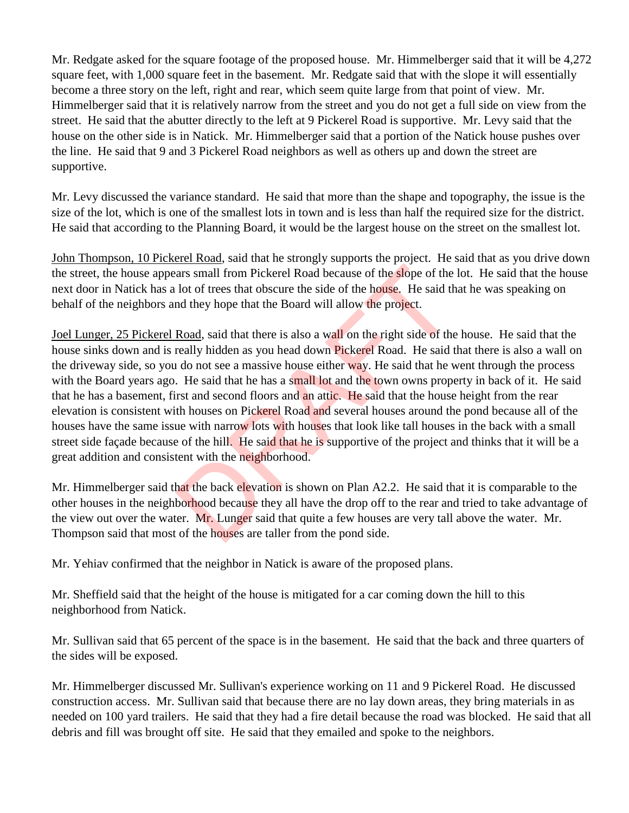Mr. Redgate asked for the square footage of the proposed house. Mr. Himmelberger said that it will be 4,272 square feet, with 1,000 square feet in the basement. Mr. Redgate said that with the slope it will essentially become a three story on the left, right and rear, which seem quite large from that point of view. Mr. Himmelberger said that it is relatively narrow from the street and you do not get a full side on view from the street. He said that the abutter directly to the left at 9 Pickerel Road is supportive. Mr. Levy said that the house on the other side is in Natick. Mr. Himmelberger said that a portion of the Natick house pushes over the line. He said that 9 and 3 Pickerel Road neighbors as well as others up and down the street are supportive.

Mr. Levy discussed the variance standard. He said that more than the shape and topography, the issue is the size of the lot, which is one of the smallest lots in town and is less than half the required size for the district. He said that according to the Planning Board, it would be the largest house on the street on the smallest lot.

John Thompson, 10 Pickerel Road, said that he strongly supports the project. He said that as you drive down the street, the house appears small from Pickerel Road because of the slope of the lot. He said that the house next door in Natick has a lot of trees that obscure the side of the house. He said that he was speaking on behalf of the neighbors and they hope that the Board will allow the project.

Joel Lunger, 25 Pickerel Road, said that there is also a wall on the right side of the house. He said that the house sinks down and is really hidden as you head down **Pickerel** Road. He said that there is also a wall on the driveway side, so you do not see a massive house either way. He said that he went through the process with the Board years ago. He said that he has a small lot and the town owns property in back of it. He said that he has a basement, first and second floors and an attic. He said that the house height from the rear elevation is consistent with houses on Pickerel Road and several houses around the pond because all of the houses have the same issue with narrow lots with houses that look like tall houses in the back with a small street side façade because of the hill. He said that he is supportive of the project and thinks that it will be a great addition and consistent with the neighborhood. ars small from Pickerel Road because of the slope of the<br>lot of trees that obscure the side of the house. He said th<br>md they hope that the Board will allow the project.<br>Road, said that there is also a wall on the right sid

Mr. Himmelberger said that the back elevation is shown on Plan A2.2. He said that it is comparable to the other houses in the neighborhood because they all have the drop off to the rear and tried to take advantage of the view out over the water. Mr. Lunger said that quite a few houses are very tall above the water. Mr. Thompson said that most of the houses are taller from the pond side.

Mr. Yehiav confirmed that the neighbor in Natick is aware of the proposed plans.

Mr. Sheffield said that the height of the house is mitigated for a car coming down the hill to this neighborhood from Natick.

Mr. Sullivan said that 65 percent of the space is in the basement. He said that the back and three quarters of the sides will be exposed.

Mr. Himmelberger discussed Mr. Sullivan's experience working on 11 and 9 Pickerel Road. He discussed construction access. Mr. Sullivan said that because there are no lay down areas, they bring materials in as needed on 100 yard trailers. He said that they had a fire detail because the road was blocked. He said that all debris and fill was brought off site. He said that they emailed and spoke to the neighbors.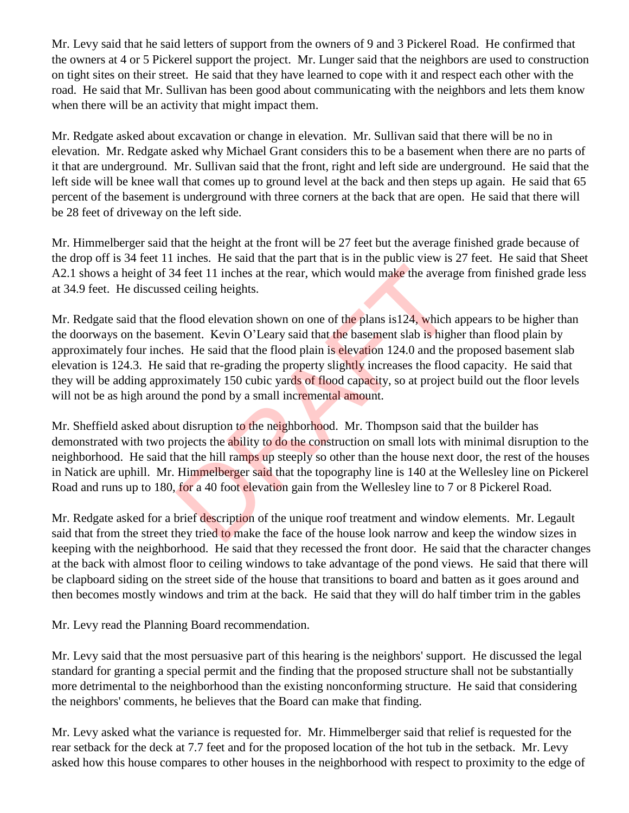Mr. Levy said that he said letters of support from the owners of 9 and 3 Pickerel Road. He confirmed that the owners at 4 or 5 Pickerel support the project. Mr. Lunger said that the neighbors are used to construction on tight sites on their street. He said that they have learned to cope with it and respect each other with the road. He said that Mr. Sullivan has been good about communicating with the neighbors and lets them know when there will be an activity that might impact them.

Mr. Redgate asked about excavation or change in elevation. Mr. Sullivan said that there will be no in elevation. Mr. Redgate asked why Michael Grant considers this to be a basement when there are no parts of it that are underground. Mr. Sullivan said that the front, right and left side are underground. He said that the left side will be knee wall that comes up to ground level at the back and then steps up again. He said that 65 percent of the basement is underground with three corners at the back that are open. He said that there will be 28 feet of driveway on the left side.

Mr. Himmelberger said that the height at the front will be 27 feet but the average finished grade because of the drop off is 34 feet 11 inches. He said that the part that is in the public view is 27 feet. He said that Sheet A2.1 shows a height of 34 feet 11 inches at the rear, which would make the average from finished grade less at 34.9 feet. He discussed ceiling heights.

Mr. Redgate said that the flood elevation shown on one of the plans is124, which appears to be higher than the doorways on the basement. Kevin O'Leary said that the basement slab is higher than flood plain by approximately four inches. He said that the flood plain is elevation 124.0 and the proposed basement slab elevation is 124.3. He said that re-grading the property slightly increases the flood capacity. He said that they will be adding approximately 150 cubic yards of flood capacity, so at project build out the floor levels will not be as high around the pond by a small incremental amount. 4 feet 11 inches at the rear, which would make the averaged ceiling heights.<br>
flood elevation shown on one of the plans is 124, which<br>
ment. Kevin O'Leary said that the basement slab is high<br>
s. He said that the flood plai

Mr. Sheffield asked about disruption to the neighborhood. Mr. Thompson said that the builder has demonstrated with two projects the ability to do the construction on small lots with minimal disruption to the neighborhood. He said that the hill ramps up steeply so other than the house next door, the rest of the houses in Natick are uphill. Mr. Himmelberger said that the topography line is 140 at the Wellesley line on Pickerel Road and runs up to 180, for a 40 foot elevation gain from the Wellesley line to 7 or 8 Pickerel Road.

Mr. Redgate asked for a brief description of the unique roof treatment and window elements. Mr. Legault said that from the street they tried to make the face of the house look narrow and keep the window sizes in keeping with the neighborhood. He said that they recessed the front door. He said that the character changes at the back with almost floor to ceiling windows to take advantage of the pond views. He said that there will be clapboard siding on the street side of the house that transitions to board and batten as it goes around and then becomes mostly windows and trim at the back. He said that they will do half timber trim in the gables

Mr. Levy read the Planning Board recommendation.

Mr. Levy said that the most persuasive part of this hearing is the neighbors' support. He discussed the legal standard for granting a special permit and the finding that the proposed structure shall not be substantially more detrimental to the neighborhood than the existing nonconforming structure. He said that considering the neighbors' comments, he believes that the Board can make that finding.

Mr. Levy asked what the variance is requested for. Mr. Himmelberger said that relief is requested for the rear setback for the deck at 7.7 feet and for the proposed location of the hot tub in the setback. Mr. Levy asked how this house compares to other houses in the neighborhood with respect to proximity to the edge of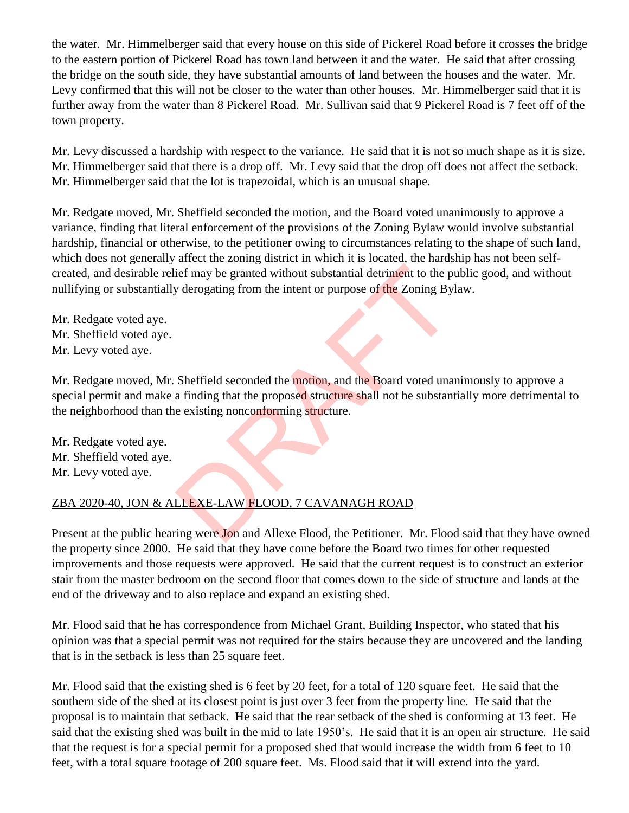the water. Mr. Himmelberger said that every house on this side of Pickerel Road before it crosses the bridge to the eastern portion of Pickerel Road has town land between it and the water. He said that after crossing the bridge on the south side, they have substantial amounts of land between the houses and the water. Mr. Levy confirmed that this will not be closer to the water than other houses. Mr. Himmelberger said that it is further away from the water than 8 Pickerel Road. Mr. Sullivan said that 9 Pickerel Road is 7 feet off of the town property.

Mr. Levy discussed a hardship with respect to the variance. He said that it is not so much shape as it is size. Mr. Himmelberger said that there is a drop off. Mr. Levy said that the drop off does not affect the setback. Mr. Himmelberger said that the lot is trapezoidal, which is an unusual shape.

Mr. Redgate moved, Mr. Sheffield seconded the motion, and the Board voted unanimously to approve a variance, finding that literal enforcement of the provisions of the Zoning Bylaw would involve substantial hardship, financial or otherwise, to the petitioner owing to circumstances relating to the shape of such land, which does not generally affect the zoning district in which it is located, the hardship has not been selfcreated, and desirable relief may be granted without substantial detriment to the public good, and without nullifying or substantially derogating from the intent or purpose of the Zoning Bylaw.

Mr. Redgate voted aye. Mr. Sheffield voted aye. Mr. Levy voted aye.

Mr. Redgate moved, Mr. Sheffield seconded the motion, and the Board voted unanimously to approve a special permit and make a finding that the proposed structure shall not be substantially more detrimental to the neighborhood than the existing nonconforming structure. ief may be granted without substantial detriment to the p<br>y derogating from the intent or purpose of the Zoning By<br>Sheffield seconded the motion, and the Board voted una<br>a finding that the proposed structure shall not be s

Mr. Redgate voted aye. Mr. Sheffield voted aye. Mr. Levy voted aye.

# ZBA 2020-40, JON & ALLEXE-LAW FLOOD, 7 CAVANAGH ROAD

Present at the public hearing were Jon and Allexe Flood, the Petitioner. Mr. Flood said that they have owned the property since 2000. He said that they have come before the Board two times for other requested improvements and those requests were approved. He said that the current request is to construct an exterior stair from the master bedroom on the second floor that comes down to the side of structure and lands at the end of the driveway and to also replace and expand an existing shed.

Mr. Flood said that he has correspondence from Michael Grant, Building Inspector, who stated that his opinion was that a special permit was not required for the stairs because they are uncovered and the landing that is in the setback is less than 25 square feet.

Mr. Flood said that the existing shed is 6 feet by 20 feet, for a total of 120 square feet. He said that the southern side of the shed at its closest point is just over 3 feet from the property line. He said that the proposal is to maintain that setback. He said that the rear setback of the shed is conforming at 13 feet. He said that the existing shed was built in the mid to late 1950's. He said that it is an open air structure. He said that the request is for a special permit for a proposed shed that would increase the width from 6 feet to 10 feet, with a total square footage of 200 square feet. Ms. Flood said that it will extend into the yard.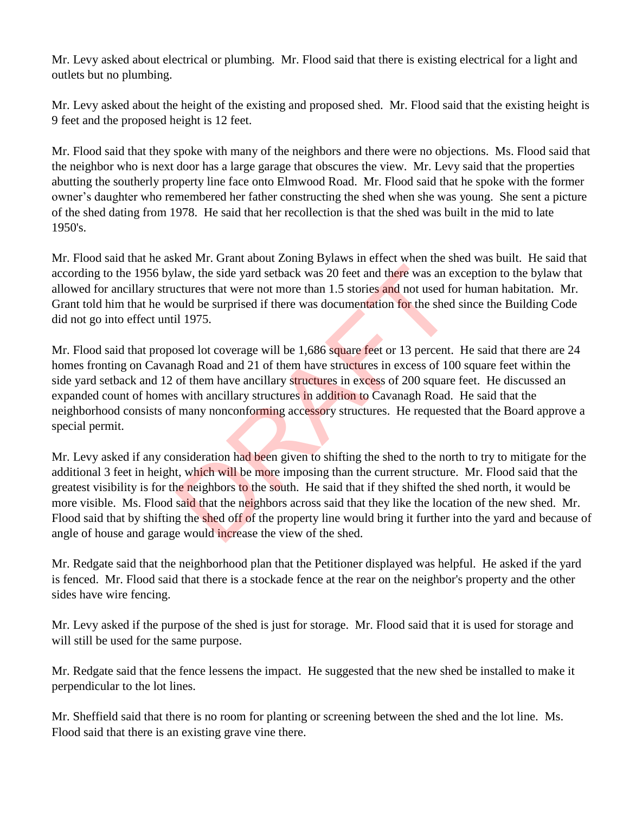Mr. Levy asked about electrical or plumbing. Mr. Flood said that there is existing electrical for a light and outlets but no plumbing.

Mr. Levy asked about the height of the existing and proposed shed. Mr. Flood said that the existing height is 9 feet and the proposed height is 12 feet.

Mr. Flood said that they spoke with many of the neighbors and there were no objections. Ms. Flood said that the neighbor who is next door has a large garage that obscures the view. Mr. Levy said that the properties abutting the southerly property line face onto Elmwood Road. Mr. Flood said that he spoke with the former owner's daughter who remembered her father constructing the shed when she was young. She sent a picture of the shed dating from 1978. He said that her recollection is that the shed was built in the mid to late 1950's.

Mr. Flood said that he asked Mr. Grant about Zoning Bylaws in effect when the shed was built. He said that according to the 1956 bylaw, the side yard setback was 20 feet and there was an exception to the bylaw that allowed for ancillary structures that were not more than 1.5 stories and not used for human habitation. Mr. Grant told him that he would be surprised if there was documentation for the shed since the Building Code did not go into effect until 1975.

Mr. Flood said that proposed lot coverage will be 1,686 square feet or 13 percent. He said that there are 24 homes fronting on Cavanagh Road and 21 of them have structures in excess of 100 square feet within the side yard setback and 12 of them have ancillary structures in excess of 200 square feet. He discussed an expanded count of homes with ancillary structures in addition to Cavanagh Road. He said that the neighborhood consists of many nonconforming accessory structures. He requested that the Board approve a special permit. law, the side yard setback was 20 feet and there was an e<br>ctures that were not more than 1.5 stories and not used fo<br>buld be surprised if there was documentation for the shed<br>il 1975.<br>Sosed lot coverage will be 1,686 squar

Mr. Levy asked if any consideration had been given to shifting the shed to the north to try to mitigate for the additional 3 feet in height, which will be more imposing than the current structure. Mr. Flood said that the greatest visibility is for the neighbors to the south. He said that if they shifted the shed north, it would be more visible. Ms. Flood said that the neighbors across said that they like the location of the new shed. Mr. Flood said that by shifting the shed off of the property line would bring it further into the yard and because of angle of house and garage would increase the view of the shed.

Mr. Redgate said that the neighborhood plan that the Petitioner displayed was helpful. He asked if the yard is fenced. Mr. Flood said that there is a stockade fence at the rear on the neighbor's property and the other sides have wire fencing.

Mr. Levy asked if the purpose of the shed is just for storage. Mr. Flood said that it is used for storage and will still be used for the same purpose.

Mr. Redgate said that the fence lessens the impact. He suggested that the new shed be installed to make it perpendicular to the lot lines.

Mr. Sheffield said that there is no room for planting or screening between the shed and the lot line. Ms. Flood said that there is an existing grave vine there.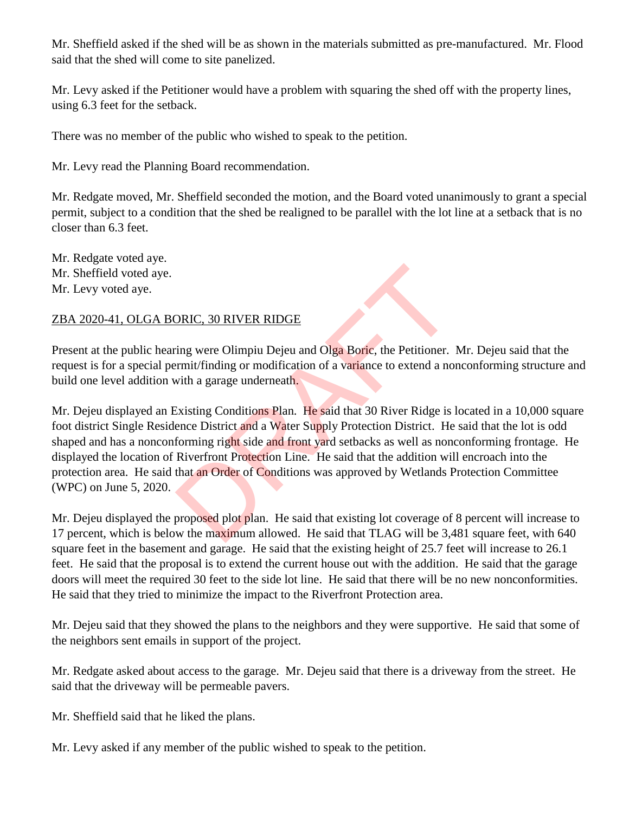Mr. Sheffield asked if the shed will be as shown in the materials submitted as pre-manufactured. Mr. Flood said that the shed will come to site panelized.

Mr. Levy asked if the Petitioner would have a problem with squaring the shed off with the property lines, using 6.3 feet for the setback.

There was no member of the public who wished to speak to the petition.

Mr. Levy read the Planning Board recommendation.

Mr. Redgate moved, Mr. Sheffield seconded the motion, and the Board voted unanimously to grant a special permit, subject to a condition that the shed be realigned to be parallel with the lot line at a setback that is no closer than 6.3 feet.

Mr. Redgate voted aye. Mr. Sheffield voted aye. Mr. Levy voted aye.

## ZBA 2020-41, OLGA BORIC, 30 RIVER RIDGE

Present at the public hearing were Olimpiu Dejeu and Olga Boric, the Petitioner. Mr. Dejeu said that the request is for a special permit/finding or modification of a variance to extend a nonconforming structure and build one level addition with a garage underneath.

Mr. Dejeu displayed an Existing Conditions Plan. He said that 30 River Ridge is located in a 10,000 square foot district Single Residence District and a Water Supply Protection District. He said that the lot is odd shaped and has a nonconforming right side and front yard setbacks as well as nonconforming frontage. He displayed the location of Riverfront Protection Line. He said that the addition will encroach into the protection area. He said that an Order of Conditions was approved by Wetlands Protection Committee (WPC) on June 5, 2020. DRIC, 30 RIVER RIDGE<br>
ing were Olimpiu Dejeu and Olga Boric, the Petitioner.<br>
rmit/finding or modification of a variance to extend a no<br>
sixisting Conditions Plan. He said that 30 River Ridge is<br>
Existing Conditions Plan.

Mr. Dejeu displayed the proposed plot plan. He said that existing lot coverage of 8 percent will increase to 17 percent, which is below the maximum allowed. He said that TLAG will be 3,481 square feet, with 640 square feet in the basement and garage. He said that the existing height of 25.7 feet will increase to 26.1 feet. He said that the proposal is to extend the current house out with the addition. He said that the garage doors will meet the required 30 feet to the side lot line. He said that there will be no new nonconformities. He said that they tried to minimize the impact to the Riverfront Protection area.

Mr. Dejeu said that they showed the plans to the neighbors and they were supportive. He said that some of the neighbors sent emails in support of the project.

Mr. Redgate asked about access to the garage. Mr. Dejeu said that there is a driveway from the street. He said that the driveway will be permeable pavers.

Mr. Sheffield said that he liked the plans.

Mr. Levy asked if any member of the public wished to speak to the petition.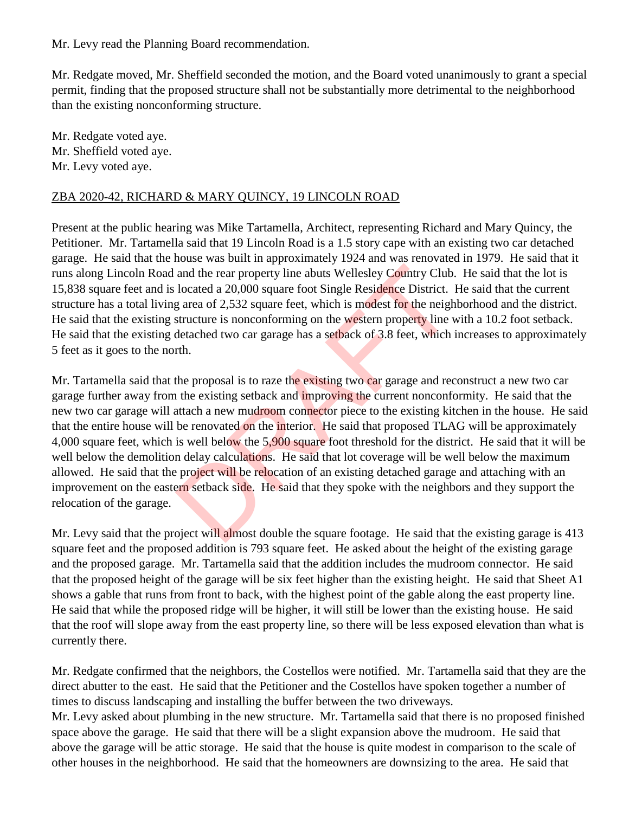Mr. Levy read the Planning Board recommendation.

Mr. Redgate moved, Mr. Sheffield seconded the motion, and the Board voted unanimously to grant a special permit, finding that the proposed structure shall not be substantially more detrimental to the neighborhood than the existing nonconforming structure.

Mr. Redgate voted aye. Mr. Sheffield voted aye. Mr. Levy voted aye.

#### ZBA 2020-42, RICHARD & MARY QUINCY, 19 LINCOLN ROAD

Present at the public hearing was Mike Tartamella, Architect, representing Richard and Mary Quincy, the Petitioner. Mr. Tartamella said that 19 Lincoln Road is a 1.5 story cape with an existing two car detached garage. He said that the house was built in approximately 1924 and was renovated in 1979. He said that it runs along Lincoln Road and the rear property line abuts Wellesley Country Club. He said that the lot is 15,838 square feet and is located a 20,000 square foot Single Residence District. He said that the current structure has a total living area of 2,532 square feet, which is modest for the neighborhood and the district. He said that the existing structure is nonconforming on the western property line with a 10.2 foot setback. He said that the existing detached two car garage has a setback of 3.8 feet, which increases to approximately 5 feet as it goes to the north.

Mr. Tartamella said that the proposal is to raze the existing two car garage and reconstruct a new two car garage further away from the existing setback and *improving* the current nonconformity. He said that the new two car garage will attach a new mudroom connector piece to the existing kitchen in the house. He said that the entire house will be renovated on the interior. He said that proposed TLAG will be approximately 4,000 square feet, which is well below the 5,900 square foot threshold for the district. He said that it will be well below the demolition delay calculations. He said that lot coverage will be well below the maximum allowed. He said that the project will be relocation of an existing detached garage and attaching with an improvement on the eastern setback side. He said that they spoke with the neighbors and they support the relocation of the garage. and the rear property line abuts Wellesley Country Club<br>located a 20,000 square foot Single Residence District.<br>g area of 2,532 square feet, which is modest for the neigh<br>structure is nonconforming on the western property

Mr. Levy said that the project will almost double the square footage. He said that the existing garage is 413 square feet and the proposed addition is 793 square feet. He asked about the height of the existing garage and the proposed garage. Mr. Tartamella said that the addition includes the mudroom connector. He said that the proposed height of the garage will be six feet higher than the existing height. He said that Sheet A1 shows a gable that runs from front to back, with the highest point of the gable along the east property line. He said that while the proposed ridge will be higher, it will still be lower than the existing house. He said that the roof will slope away from the east property line, so there will be less exposed elevation than what is currently there.

Mr. Redgate confirmed that the neighbors, the Costellos were notified. Mr. Tartamella said that they are the direct abutter to the east. He said that the Petitioner and the Costellos have spoken together a number of times to discuss landscaping and installing the buffer between the two driveways.

Mr. Levy asked about plumbing in the new structure. Mr. Tartamella said that there is no proposed finished space above the garage. He said that there will be a slight expansion above the mudroom. He said that above the garage will be attic storage. He said that the house is quite modest in comparison to the scale of other houses in the neighborhood. He said that the homeowners are downsizing to the area. He said that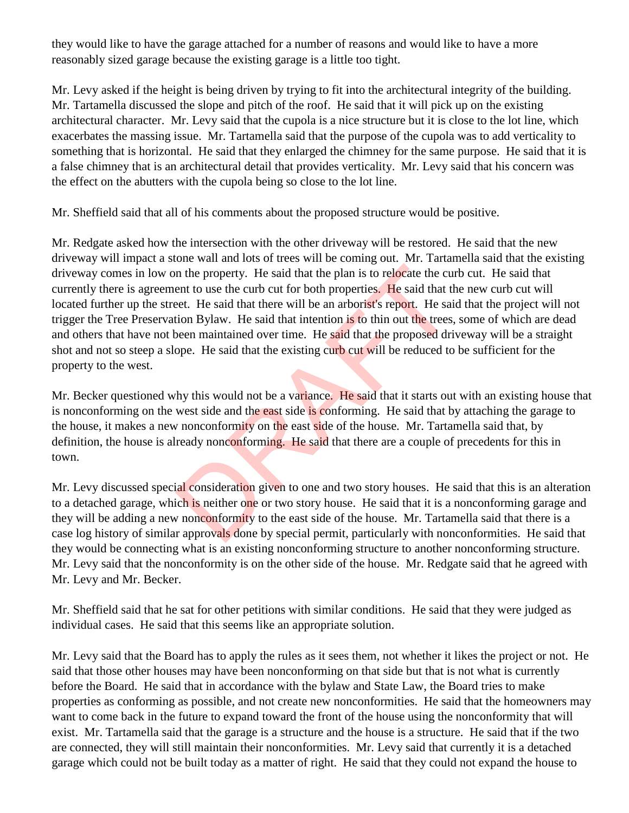they would like to have the garage attached for a number of reasons and would like to have a more reasonably sized garage because the existing garage is a little too tight.

Mr. Levy asked if the height is being driven by trying to fit into the architectural integrity of the building. Mr. Tartamella discussed the slope and pitch of the roof. He said that it will pick up on the existing architectural character. Mr. Levy said that the cupola is a nice structure but it is close to the lot line, which exacerbates the massing issue. Mr. Tartamella said that the purpose of the cupola was to add verticality to something that is horizontal. He said that they enlarged the chimney for the same purpose. He said that it is a false chimney that is an architectural detail that provides verticality. Mr. Levy said that his concern was the effect on the abutters with the cupola being so close to the lot line.

Mr. Sheffield said that all of his comments about the proposed structure would be positive.

Mr. Redgate asked how the intersection with the other driveway will be restored. He said that the new driveway will impact a stone wall and lots of trees will be coming out. Mr. Tartamella said that the existing driveway comes in low on the property. He said that the plan is to relocate the curb cut. He said that currently there is agreement to use the curb cut for both properties. He said that the new curb cut will located further up the street. He said that there will be an arborist's report. He said that the project will not trigger the Tree Preservation Bylaw. He said that intention is to thin out the trees, some of which are dead and others that have not been maintained over time. He said that the proposed driveway will be a straight shot and not so steep a slope. He said that the existing curb cut will be reduced to be sufficient for the property to the west. In the property. He said that the plan is to relocate the cuent to use the curb cut for both properties. He said that there the east of the said that there will be an arborist's report. He said that there will be an arbori

Mr. Becker questioned why this would not be a variance. He said that it starts out with an existing house that is nonconforming on the west side and the east side is conforming. He said that by attaching the garage to the house, it makes a new nonconformity on the east side of the house. Mr. Tartamella said that, by definition, the house is already nonconforming. He said that there are a couple of precedents for this in town.

Mr. Levy discussed special consideration given to one and two story houses. He said that this is an alteration to a detached garage, which is neither one or two story house. He said that it is a nonconforming garage and they will be adding a new nonconformity to the east side of the house. Mr. Tartamella said that there is a case log history of similar approvals done by special permit, particularly with nonconformities. He said that they would be connecting what is an existing nonconforming structure to another nonconforming structure. Mr. Levy said that the nonconformity is on the other side of the house. Mr. Redgate said that he agreed with Mr. Levy and Mr. Becker.

Mr. Sheffield said that he sat for other petitions with similar conditions. He said that they were judged as individual cases. He said that this seems like an appropriate solution.

Mr. Levy said that the Board has to apply the rules as it sees them, not whether it likes the project or not. He said that those other houses may have been nonconforming on that side but that is not what is currently before the Board. He said that in accordance with the bylaw and State Law, the Board tries to make properties as conforming as possible, and not create new nonconformities. He said that the homeowners may want to come back in the future to expand toward the front of the house using the nonconformity that will exist. Mr. Tartamella said that the garage is a structure and the house is a structure. He said that if the two are connected, they will still maintain their nonconformities. Mr. Levy said that currently it is a detached garage which could not be built today as a matter of right. He said that they could not expand the house to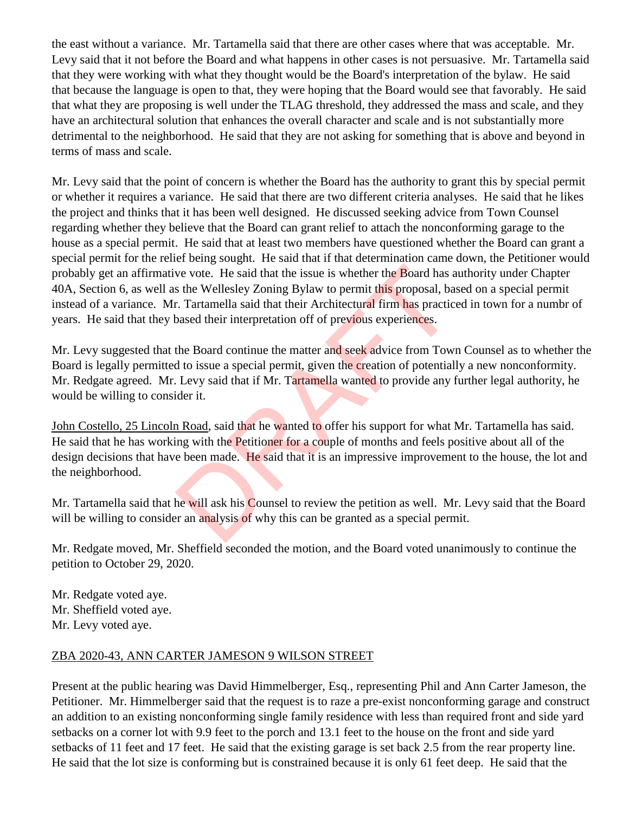the east without a variance. Mr. Tartamella said that there are other cases where that was acceptable. Mr. Levy said that it not before the Board and what happens in other cases is not persuasive. Mr. Tartamella said that they were working with what they thought would be the Board's interpretation of the bylaw. He said that because the language is open to that, they were hoping that the Board would see that favorably. He said that what they are proposing is well under the TLAG threshold, they addressed the mass and scale, and they have an architectural solution that enhances the overall character and scale and is not substantially more detrimental to the neighborhood. He said that they are not asking for something that is above and beyond in terms of mass and scale.

Mr. Levy said that the point of concern is whether the Board has the authority to grant this by special permit or whether it requires a variance. He said that there are two different criteria analyses. He said that he likes the project and thinks that it has been well designed. He discussed seeking advice from Town Counsel regarding whether they believe that the Board can grant relief to attach the nonconforming garage to the house as a special permit. He said that at least two members have questioned whether the Board can grant a special permit for the relief being sought. He said that if that determination came down, the Petitioner would probably get an affirmative vote. He said that the issue is whether the Board has authority under Chapter 40A, Section 6, as well as the Wellesley Zoning Bylaw to permit this proposal, based on a special permit instead of a variance. Mr. Tartamella said that their Architectural firm has practiced in town for a numbr of years. He said that they based their interpretation off of previous experiences. ve vote. He said that the issue is whether the Board has a set the Wellesley Zoning Bylaw to permit this proposal, based their interpretation off of previous experiences.<br>The Board their interpretation off of previous expe

Mr. Levy suggested that the Board continue the matter and seek advice from Town Counsel as to whether the Board is legally permitted to issue a special permit, given the creation of potentially a new nonconformity. Mr. Redgate agreed. Mr. Levy said that if Mr. Tartamella wanted to provide any further legal authority, he would be willing to consider it.

John Costello, 25 Lincoln Road, said that he wanted to offer his support for what Mr. Tartamella has said. He said that he has working with the Petitioner for a couple of months and feels positive about all of the design decisions that have been made. He said that it is an impressive improvement to the house, the lot and the neighborhood.

Mr. Tartamella said that he will ask his Counsel to review the petition as well. Mr. Levy said that the Board will be willing to consider an analysis of why this can be granted as a special permit.

Mr. Redgate moved, Mr. Sheffield seconded the motion, and the Board voted unanimously to continue the petition to October 29, 2020.

Mr. Redgate voted aye. Mr. Sheffield voted aye. Mr. Levy voted aye.

#### ZBA 2020-43, ANN CARTER JAMESON 9 WILSON STREET

Present at the public hearing was David Himmelberger, Esq., representing Phil and Ann Carter Jameson, the Petitioner. Mr. Himmelberger said that the request is to raze a pre-exist nonconforming garage and construct an addition to an existing nonconforming single family residence with less than required front and side yard setbacks on a corner lot with 9.9 feet to the porch and 13.1 feet to the house on the front and side yard setbacks of 11 feet and 17 feet. He said that the existing garage is set back 2.5 from the rear property line. He said that the lot size is conforming but is constrained because it is only 61 feet deep. He said that the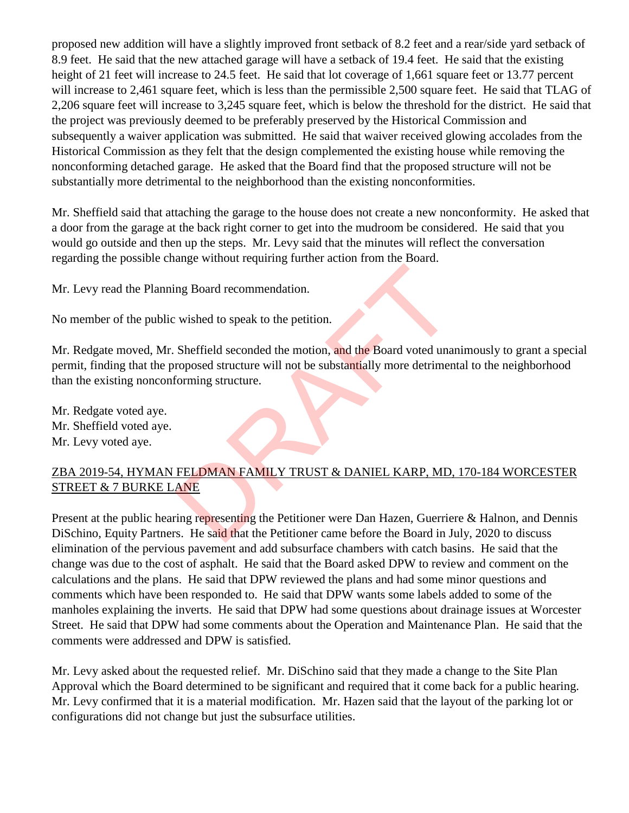proposed new addition will have a slightly improved front setback of 8.2 feet and a rear/side yard setback of 8.9 feet. He said that the new attached garage will have a setback of 19.4 feet. He said that the existing height of 21 feet will increase to 24.5 feet. He said that lot coverage of 1,661 square feet or 13.77 percent will increase to 2,461 square feet, which is less than the permissible 2,500 square feet. He said that TLAG of 2,206 square feet will increase to 3,245 square feet, which is below the threshold for the district. He said that the project was previously deemed to be preferably preserved by the Historical Commission and subsequently a waiver application was submitted. He said that waiver received glowing accolades from the Historical Commission as they felt that the design complemented the existing house while removing the nonconforming detached garage. He asked that the Board find that the proposed structure will not be substantially more detrimental to the neighborhood than the existing nonconformities.

Mr. Sheffield said that attaching the garage to the house does not create a new nonconformity. He asked that a door from the garage at the back right corner to get into the mudroom be considered. He said that you would go outside and then up the steps. Mr. Levy said that the minutes will reflect the conversation regarding the possible change without requiring further action from the Board.

Mr. Levy read the Planning Board recommendation.

No member of the public wished to speak to the petition.

Mr. Redgate moved, Mr. Sheffield seconded the motion, and the Board voted unanimously to grant a special permit, finding that the proposed structure will not be substantially more detrimental to the neighborhood than the existing nonconforming structure. ng Board recommendation.<br>
wished to speak to the petition.<br>
Sheffield seconded the motion, and the Board voted una<br>
roposed structure.<br>
Soming structure.<br>
Soming structure.<br>
The UMAN FAMILY TRUST & DANIEL KARP, MD,<br>
ANE<br>
i

Mr. Redgate voted aye. Mr. Sheffield voted aye. Mr. Levy voted aye.

# ZBA 2019-54, HYMAN FELDMAN FAMILY TRUST & DANIEL KARP, MD, 170-184 WORCESTER STREET & 7 BURKE LANE

Present at the public hearing representing the Petitioner were Dan Hazen, Guerriere & Halnon, and Dennis DiSchino, Equity Partners. He said that the Petitioner came before the Board in July, 2020 to discuss elimination of the pervious pavement and add subsurface chambers with catch basins. He said that the change was due to the cost of asphalt. He said that the Board asked DPW to review and comment on the calculations and the plans. He said that DPW reviewed the plans and had some minor questions and comments which have been responded to. He said that DPW wants some labels added to some of the manholes explaining the inverts. He said that DPW had some questions about drainage issues at Worcester Street. He said that DPW had some comments about the Operation and Maintenance Plan. He said that the comments were addressed and DPW is satisfied.

Mr. Levy asked about the requested relief. Mr. DiSchino said that they made a change to the Site Plan Approval which the Board determined to be significant and required that it come back for a public hearing. Mr. Levy confirmed that it is a material modification. Mr. Hazen said that the layout of the parking lot or configurations did not change but just the subsurface utilities.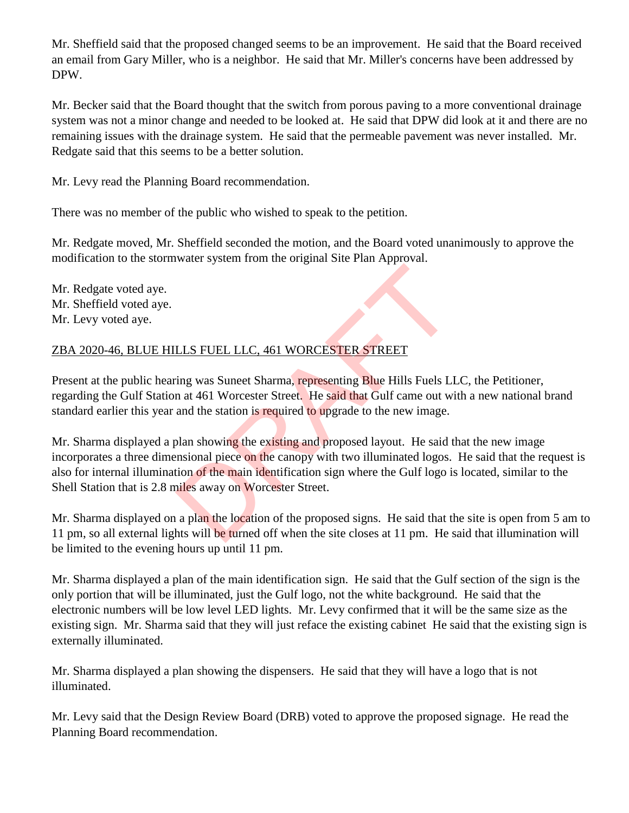Mr. Sheffield said that the proposed changed seems to be an improvement. He said that the Board received an email from Gary Miller, who is a neighbor. He said that Mr. Miller's concerns have been addressed by DPW.

Mr. Becker said that the Board thought that the switch from porous paving to a more conventional drainage system was not a minor change and needed to be looked at. He said that DPW did look at it and there are no remaining issues with the drainage system. He said that the permeable pavement was never installed. Mr. Redgate said that this seems to be a better solution.

Mr. Levy read the Planning Board recommendation.

There was no member of the public who wished to speak to the petition.

Mr. Redgate moved, Mr. Sheffield seconded the motion, and the Board voted unanimously to approve the modification to the stormwater system from the original Site Plan Approval.

Mr. Redgate voted aye. Mr. Sheffield voted aye. Mr. Levy voted aye.

# ZBA 2020-46, BLUE HILLS FUEL LLC, 461 WORCESTER STREET

Present at the public hearing was Suneet Sharma, representing Blue Hills Fuels LLC, the Petitioner, regarding the Gulf Station at 461 Worcester Street. He said that Gulf came out with a new national brand standard earlier this year and the station is required to upgrade to the new image.

Mr. Sharma displayed a plan showing the existing and proposed layout. He said that the new image incorporates a three dimensional piece on the canopy with two illuminated logos. He said that the request is also for internal illumination of the main identification sign where the Gulf logo is located, similar to the Shell Station that is 2.8 miles away on Worcester Street. LLS FUEL LLC, 461 WORCESTER STREET<br>ing was Suneet Sharma, representing Blue Hills Fuels LI<br>n at 461 Worcester Street. He said that Gulf came out wi<br>and the station is required to upgrade to the new image.<br>plan showing the

Mr. Sharma displayed on a plan the location of the proposed signs. He said that the site is open from 5 am to 11 pm, so all external lights will be turned off when the site closes at 11 pm. He said that illumination will be limited to the evening hours up until 11 pm.

Mr. Sharma displayed a plan of the main identification sign. He said that the Gulf section of the sign is the only portion that will be illuminated, just the Gulf logo, not the white background. He said that the electronic numbers will be low level LED lights. Mr. Levy confirmed that it will be the same size as the existing sign. Mr. Sharma said that they will just reface the existing cabinet He said that the existing sign is externally illuminated.

Mr. Sharma displayed a plan showing the dispensers. He said that they will have a logo that is not illuminated.

Mr. Levy said that the Design Review Board (DRB) voted to approve the proposed signage. He read the Planning Board recommendation.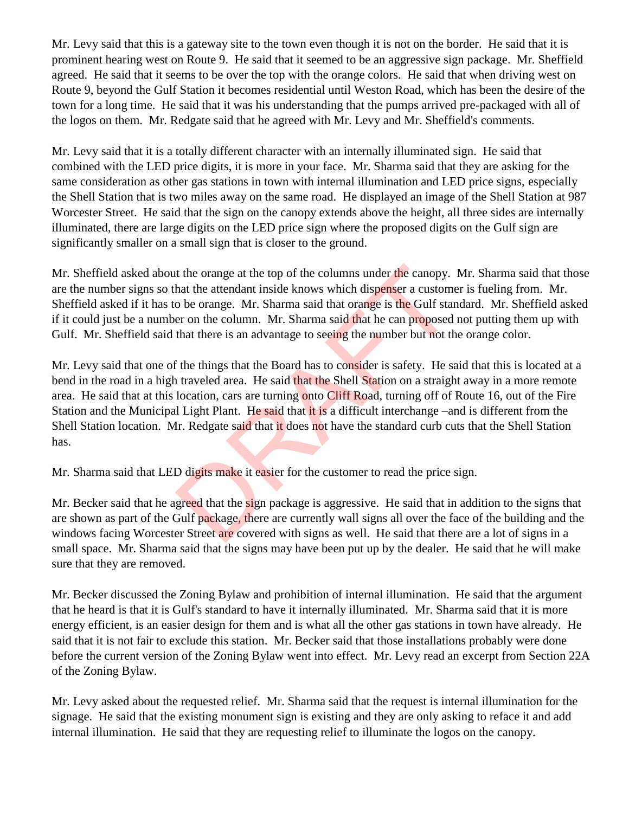Mr. Levy said that this is a gateway site to the town even though it is not on the border. He said that it is prominent hearing west on Route 9. He said that it seemed to be an aggressive sign package. Mr. Sheffield agreed. He said that it seems to be over the top with the orange colors. He said that when driving west on Route 9, beyond the Gulf Station it becomes residential until Weston Road, which has been the desire of the town for a long time. He said that it was his understanding that the pumps arrived pre-packaged with all of the logos on them. Mr. Redgate said that he agreed with Mr. Levy and Mr. Sheffield's comments.

Mr. Levy said that it is a totally different character with an internally illuminated sign. He said that combined with the LED price digits, it is more in your face. Mr. Sharma said that they are asking for the same consideration as other gas stations in town with internal illumination and LED price signs, especially the Shell Station that is two miles away on the same road. He displayed an image of the Shell Station at 987 Worcester Street. He said that the sign on the canopy extends above the height, all three sides are internally illuminated, there are large digits on the LED price sign where the proposed digits on the Gulf sign are significantly smaller on a small sign that is closer to the ground.

Mr. Sheffield asked about the orange at the top of the columns under the canopy. Mr. Sharma said that those are the number signs so that the attendant inside knows which dispenser a customer is fueling from. Mr. Sheffield asked if it has to be orange. Mr. Sharma said that orange is the Gulf standard. Mr. Sheffield asked if it could just be a number on the column. Mr. Sharma said that he can proposed not putting them up with Gulf. Mr. Sheffield said that there is an advantage to seeing the number but not the orange color.

Mr. Levy said that one of the things that the Board has to consider is safety. He said that this is located at a bend in the road in a high traveled area. He said that the Shell Station on a straight away in a more remote area. He said that at this location, cars are turning onto Cliff Road, turning off of Route 16, out of the Fire Station and the Municipal Light Plant. He said that it is a difficult interchange –and is different from the Shell Station location. Mr. Redgate said that it does not have the standard curb cuts that the Shell Station has. It the orange at the top of the columns under the canopy.<br>
hat the attendant inside knows which dispenser a custom<br>
o be orange. Mr. Sharma said that orange is the Gulf star<br>
er on the column. Mr. Sharma said that he can p

Mr. Sharma said that LED digits make it easier for the customer to read the price sign.

Mr. Becker said that he agreed that the sign package is aggressive. He said that in addition to the signs that are shown as part of the Gulf package, there are currently wall signs all over the face of the building and the windows facing Worcester Street are covered with signs as well. He said that there are a lot of signs in a small space. Mr. Sharma said that the signs may have been put up by the dealer. He said that he will make sure that they are removed.

Mr. Becker discussed the Zoning Bylaw and prohibition of internal illumination. He said that the argument that he heard is that it is Gulf's standard to have it internally illuminated. Mr. Sharma said that it is more energy efficient, is an easier design for them and is what all the other gas stations in town have already. He said that it is not fair to exclude this station. Mr. Becker said that those installations probably were done before the current version of the Zoning Bylaw went into effect. Mr. Levy read an excerpt from Section 22A of the Zoning Bylaw.

Mr. Levy asked about the requested relief. Mr. Sharma said that the request is internal illumination for the signage. He said that the existing monument sign is existing and they are only asking to reface it and add internal illumination. He said that they are requesting relief to illuminate the logos on the canopy.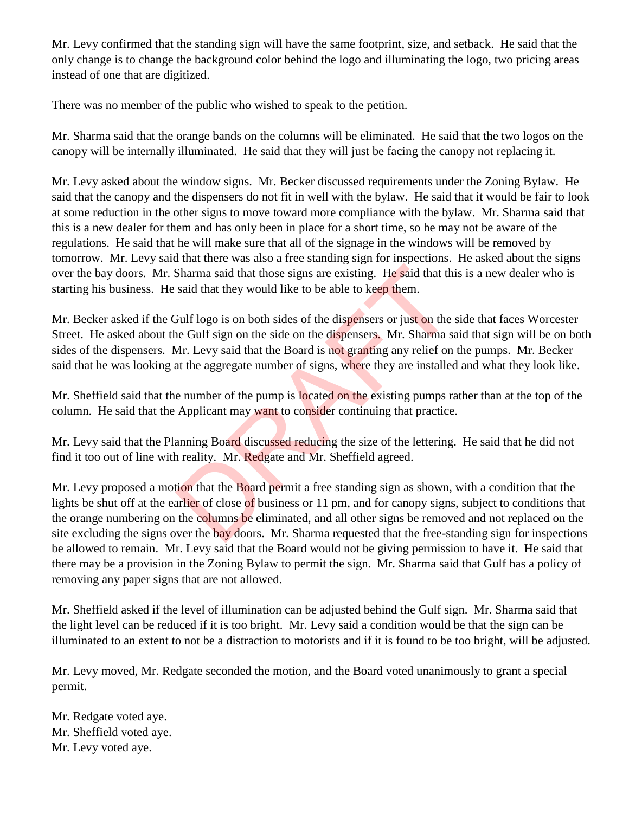Mr. Levy confirmed that the standing sign will have the same footprint, size, and setback. He said that the only change is to change the background color behind the logo and illuminating the logo, two pricing areas instead of one that are digitized.

There was no member of the public who wished to speak to the petition.

Mr. Sharma said that the orange bands on the columns will be eliminated. He said that the two logos on the canopy will be internally illuminated. He said that they will just be facing the canopy not replacing it.

Mr. Levy asked about the window signs. Mr. Becker discussed requirements under the Zoning Bylaw. He said that the canopy and the dispensers do not fit in well with the bylaw. He said that it would be fair to look at some reduction in the other signs to move toward more compliance with the bylaw. Mr. Sharma said that this is a new dealer for them and has only been in place for a short time, so he may not be aware of the regulations. He said that he will make sure that all of the signage in the windows will be removed by tomorrow. Mr. Levy said that there was also a free standing sign for inspections. He asked about the signs over the bay doors. Mr. Sharma said that those signs are existing. He said that this is a new dealer who is starting his business. He said that they would like to be able to keep them.

Mr. Becker asked if the Gulf logo is on both sides of the dispensers or just on the side that faces Worcester Street. He asked about the Gulf sign on the side on the dispensers. Mr. Sharma said that sign will be on both sides of the dispensers. Mr. Levy said that the Board is not granting any relief on the pumps. Mr. Becker said that he was looking at the aggregate number of signs, where they are installed and what they look like.

Mr. Sheffield said that the number of the pump is located on the existing pumps rather than at the top of the column. He said that the Applicant may want to consider continuing that practice.

Mr. Levy said that the Planning Board discussed reducing the size of the lettering. He said that he did not find it too out of line with reality. Mr. Redgate and Mr. Sheffield agreed.

Mr. Levy proposed a motion that the Board permit a free standing sign as shown, with a condition that the lights be shut off at the earlier of close of business or 11 pm, and for canopy signs, subject to conditions that the orange numbering on the columns be eliminated, and all other signs be removed and not replaced on the site excluding the signs over the bay doors. Mr. Sharma requested that the free-standing sign for inspections be allowed to remain. Mr. Levy said that the Board would not be giving permission to have it. He said that there may be a provision in the Zoning Bylaw to permit the sign. Mr. Sharma said that Gulf has a policy of removing any paper signs that are not allowed. Sharma said that those signs are existing. He said that the said that they would like to be able to keep them.<br>
Julf logo is on both sides of the dispensers or just on the nee Gulf sign on the side on the dispensers. Mr. S

Mr. Sheffield asked if the level of illumination can be adjusted behind the Gulf sign. Mr. Sharma said that the light level can be reduced if it is too bright. Mr. Levy said a condition would be that the sign can be illuminated to an extent to not be a distraction to motorists and if it is found to be too bright, will be adjusted.

Mr. Levy moved, Mr. Redgate seconded the motion, and the Board voted unanimously to grant a special permit.

Mr. Redgate voted aye. Mr. Sheffield voted aye. Mr. Levy voted aye.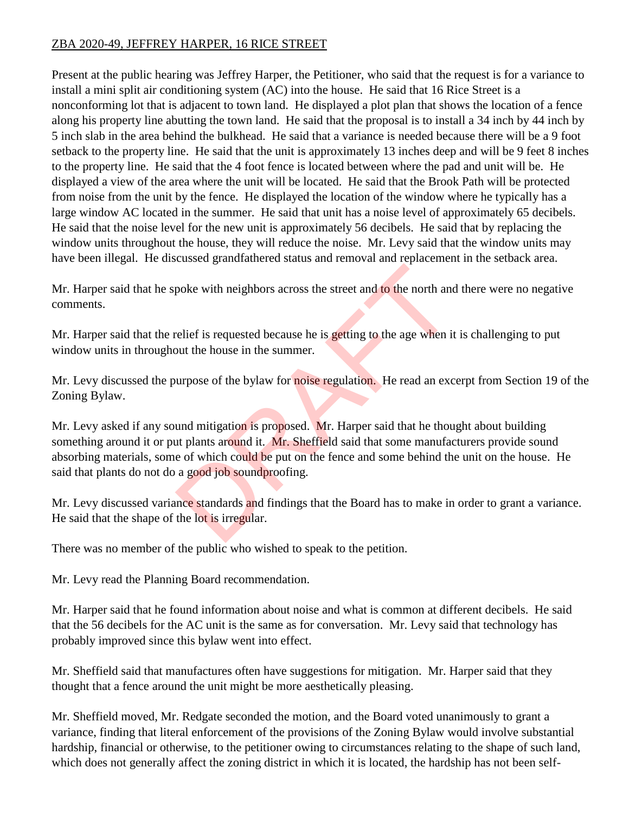## ZBA 2020-49, JEFFREY HARPER, 16 RICE STREET

Present at the public hearing was Jeffrey Harper, the Petitioner, who said that the request is for a variance to install a mini split air conditioning system (AC) into the house. He said that 16 Rice Street is a nonconforming lot that is adjacent to town land. He displayed a plot plan that shows the location of a fence along his property line abutting the town land. He said that the proposal is to install a 34 inch by 44 inch by 5 inch slab in the area behind the bulkhead. He said that a variance is needed because there will be a 9 foot setback to the property line. He said that the unit is approximately 13 inches deep and will be 9 feet 8 inches to the property line. He said that the 4 foot fence is located between where the pad and unit will be. He displayed a view of the area where the unit will be located. He said that the Brook Path will be protected from noise from the unit by the fence. He displayed the location of the window where he typically has a large window AC located in the summer. He said that unit has a noise level of approximately 65 decibels. He said that the noise level for the new unit is approximately 56 decibels. He said that by replacing the window units throughout the house, they will reduce the noise. Mr. Levy said that the window units may have been illegal. He discussed grandfathered status and removal and replacement in the setback area.

Mr. Harper said that he spoke with neighbors across the street and to the north and there were no negative comments.

Mr. Harper said that the relief is requested because he is getting to the age when it is challenging to put window units in throughout the house in the summer.

Mr. Levy discussed the purpose of the bylaw for noise regulation. He read an excerpt from Section 19 of the Zoning Bylaw.

Mr. Levy asked if any sound mitigation is proposed. Mr. Harper said that he thought about building something around it or put plants around it. Mr. Sheffield said that some manufacturers provide sound absorbing materials, some of which could be put on the fence and some behind the unit on the house. He said that plants do not do a good job soundproofing. poke with neighbors across the street and to the north and<br>relief is requested because he is getting to the age when it<br>out the house in the summer.<br>urpose of the bylaw for noise regulation. He read an exc<br>und mitigation i

Mr. Levy discussed variance standards and findings that the Board has to make in order to grant a variance. He said that the shape of the lot is irregular.

There was no member of the public who wished to speak to the petition.

Mr. Levy read the Planning Board recommendation.

Mr. Harper said that he found information about noise and what is common at different decibels. He said that the 56 decibels for the AC unit is the same as for conversation. Mr. Levy said that technology has probably improved since this bylaw went into effect.

Mr. Sheffield said that manufactures often have suggestions for mitigation. Mr. Harper said that they thought that a fence around the unit might be more aesthetically pleasing.

Mr. Sheffield moved, Mr. Redgate seconded the motion, and the Board voted unanimously to grant a variance, finding that literal enforcement of the provisions of the Zoning Bylaw would involve substantial hardship, financial or otherwise, to the petitioner owing to circumstances relating to the shape of such land, which does not generally affect the zoning district in which it is located, the hardship has not been self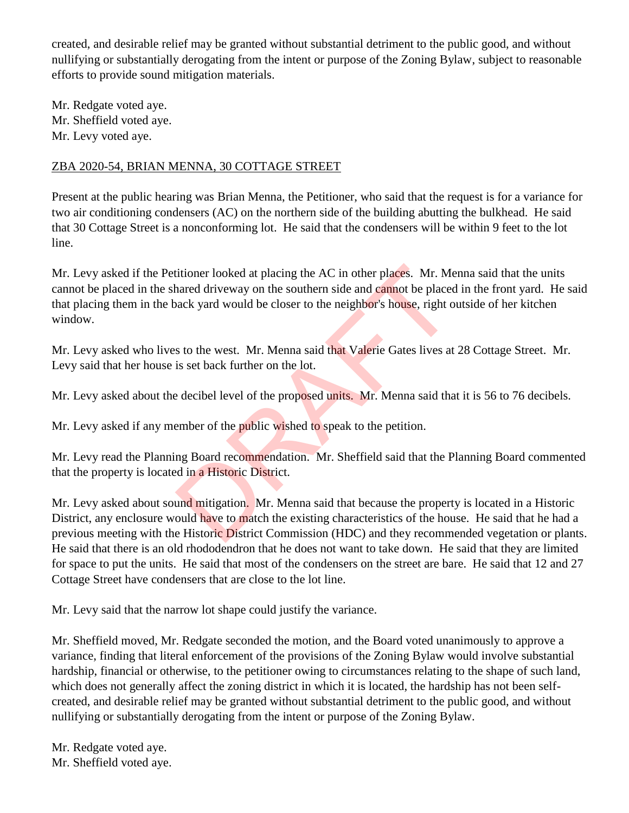created, and desirable relief may be granted without substantial detriment to the public good, and without nullifying or substantially derogating from the intent or purpose of the Zoning Bylaw, subject to reasonable efforts to provide sound mitigation materials.

Mr. Redgate voted aye. Mr. Sheffield voted aye. Mr. Levy voted aye.

## ZBA 2020-54, BRIAN MENNA, 30 COTTAGE STREET

Present at the public hearing was Brian Menna, the Petitioner, who said that the request is for a variance for two air conditioning condensers (AC) on the northern side of the building abutting the bulkhead. He said that 30 Cottage Street is a nonconforming lot. He said that the condensers will be within 9 feet to the lot line.

Mr. Levy asked if the Petitioner looked at placing the AC in other places. Mr. Menna said that the units cannot be placed in the shared driveway on the southern side and cannot be placed in the front yard. He said that placing them in the back yard would be closer to the neighbor's house, right outside of her kitchen window. itioner looked at placing the AC in other places. Mr. Me<br>hared driveway on the southern side and cannot be placed<br>vack yard would be closer to the neighbor's house, right of<br>s to the west. Mr. Menna said that Valerie Gates

Mr. Levy asked who lives to the west. Mr. Menna said that Valerie Gates lives at 28 Cottage Street. Mr. Levy said that her house is set back further on the lot.

Mr. Levy asked about the decibel level of the proposed units. Mr. Menna said that it is 56 to 76 decibels.

Mr. Levy asked if any member of the public wished to speak to the petition.

Mr. Levy read the Planning Board recommendation. Mr. Sheffield said that the Planning Board commented that the property is located in a Historic District.

Mr. Levy asked about sound mitigation. Mr. Menna said that because the property is located in a Historic District, any enclosure would have to match the existing characteristics of the house. He said that he had a previous meeting with the Historic District Commission (HDC) and they recommended vegetation or plants. He said that there is an old rhododendron that he does not want to take down. He said that they are limited for space to put the units. He said that most of the condensers on the street are bare. He said that 12 and 27 Cottage Street have condensers that are close to the lot line.

Mr. Levy said that the narrow lot shape could justify the variance.

Mr. Sheffield moved, Mr. Redgate seconded the motion, and the Board voted unanimously to approve a variance, finding that literal enforcement of the provisions of the Zoning Bylaw would involve substantial hardship, financial or otherwise, to the petitioner owing to circumstances relating to the shape of such land, which does not generally affect the zoning district in which it is located, the hardship has not been selfcreated, and desirable relief may be granted without substantial detriment to the public good, and without nullifying or substantially derogating from the intent or purpose of the Zoning Bylaw.

Mr. Redgate voted aye. Mr. Sheffield voted aye.